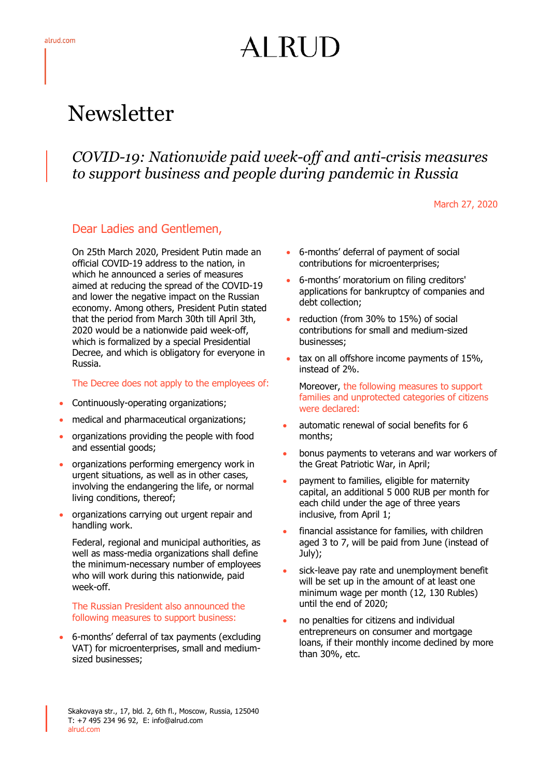# AI RUD

# Newsletter

## *COVID-19: Nationwide paid week-off and anti-crisis measures to support business and people during pandemic in Russia*

March 27, 2020

### Dear Ladies and Gentlemen,

On 25th March 2020, President Putin made an official COVID-19 address to the nation, in which he announced a series of measures aimed at reducing the spread of the COVID-19 and lower the negative impact on the Russian economy. Among others, President Putin stated that the period from March 30th till April 3th, 2020 would be a nationwide paid week-off, which is formalized by a special Presidential Decree, and which is obligatory for everyone in Russia.

#### The Decree does not apply to the employees of:

- Continuously-operating organizations;
- medical and pharmaceutical organizations;
- organizations providing the people with food and essential goods;
- organizations performing emergency work in urgent situations, as well as in other cases, involving the endangering the life, or normal living conditions, thereof;
- organizations carrying out urgent repair and handling work.

Federal, regional and municipal authorities, as well as mass-media organizations shall define the minimum-necessary number of employees who will work during this nationwide, paid week-off.

#### The Russian President also announced the following measures to support business:

 6-months' deferral of tax payments (excluding VAT) for microenterprises, small and mediumsized businesses;

- 6-months' deferral of payment of social contributions for microenterprises;
- 6-months' moratorium on filing creditors' applications for bankruptcy of companies and debt collection;
- reduction (from 30% to 15%) of social contributions for small and medium-sized businesses;
- tax on all offshore income payments of 15%, instead of 2%.
	- Moreover, the following measures to support families and unprotected categories of citizens were declared:
- automatic renewal of social benefits for 6 months;
- bonus payments to veterans and war workers of the Great Patriotic War, in April;
- payment to families, eligible for maternity capital, an additional 5 000 RUB per month for each child under the age of three years inclusive, from April 1;
- financial assistance for families, with children aged 3 to 7, will be paid from June (instead of July);
- sick-leave pay rate and unemployment benefit will be set up in the amount of at least one minimum wage per month (12, 130 Rubles) until the end of 2020;
- no penalties for citizens and individual entrepreneurs on consumer and mortgage loans, if their monthly income declined by more than 30%, etc.